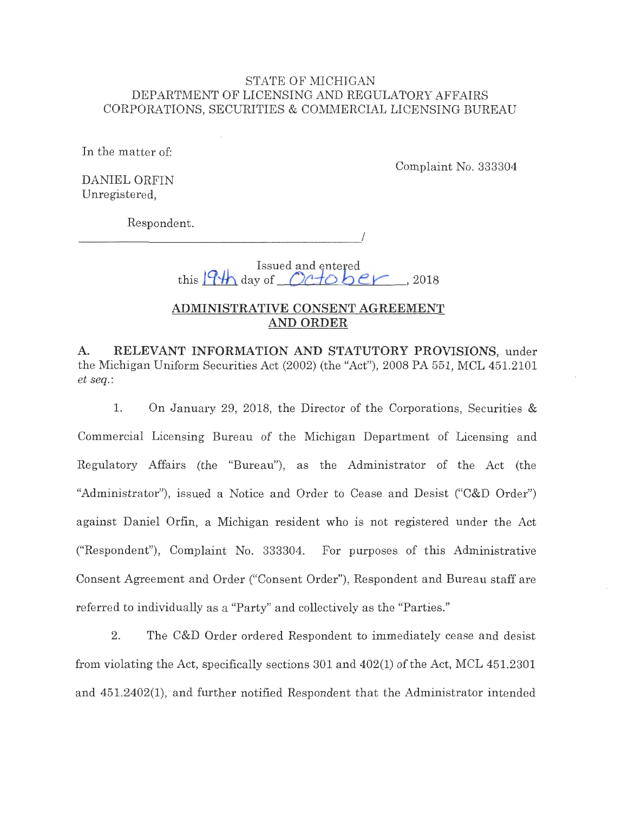## STATE OF MICHIGAN DEPARTMENT OF LICENSING AND REGULATORY AFFAIRS CORPORATIONS, SECURITIES & COMMERCIAL LICENSING BUREAU

In the matter of:

Complaint No. 333304

DANIEL ORFIN Unregistered,

Respondent.

 $\overline{\phantom{a}}$ 

Issued and entered  $t$ his  $\left| \frac{q}{h} \right|$  day of  $Octo 6er$ , 2018

# **ADMINISTRATIVE CONSENT AGREEMENT AND ORDER**

**A. RELEVANT INFORMATION AND STATUTORY PROVISIONS,** under the Michigan Uniform Securities Act (2002) (the "Act"), 2008 PA 551, MCL 451.2101 *et seq.:* 

1. On January 29, 2018, the Director of the Corporations, Securities & Commercial Licensing Bureau of the Michigan Department of Licensing and Regulatory Affairs (the "Bureau"), as the Administrator of the Act (the "Administrator"), issued a Notice and Order to Cease and Desist ("C&D Order") against Daniel Orfin, a Michigan resident who is not registered under the Act ("Respondent"), Complaint No. 333304. For purposes of this Administrative Consent Agreement and Order ("Consent Order"), Respondent and Bureau staff are referred to individually as a "Party" and collectively as the "Parties."

2. The C&D Order ordered Respondent to immediately cease and desist from violating the Act, specifically sections 301 and 402(1) of the Act, MCL 451.2301 and 451.2402(1), and further notified Respondent that the Administrator intended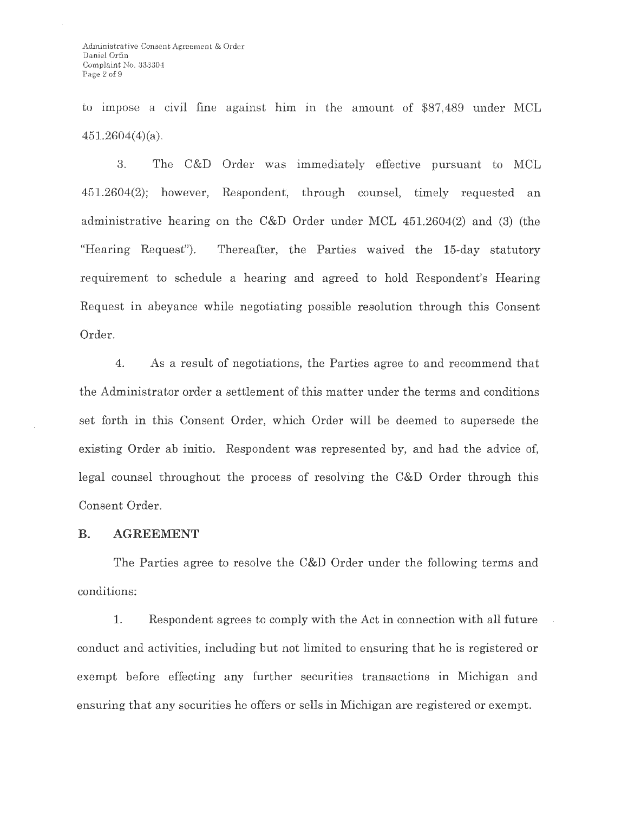to impose a civil fine against him in the amount of \$87,489 under MCL 451.2604(4)(a).

3. The C&D Order was immediately effective pursuant to MCL 45 1.2604(2); however, Respondent, through counsel, timely requested an administrative hearing on the C&D Order under MCL 451.2604(2) and (3) (the "Hearing Request"). Thereafter, the Parties waived the 15-day statutory requirement to schedule a hearing and agreed to hold Respondent's Hearing Request in abeyance while negotiating possible resolution through this Consent Order.

4. As a result of negotiations, the Parties agree to and recommend that the Administrator order a settlement of this matter under the terms and conditions set forth in this Consent Order, which Order will be deemed to supersede the existing Order ab initio. Respondent was represented by, and had the advice of, legal counsel throughout the process of resolving the C&D Order through this Consent Order.

#### **B. AGREEMENT**

The Parties agree to resolve the C&D Order under the following terms and conditions:

1. Respondent agrees to comply with the Act in connection with all future conduct and activities, including but not limited to ensuring that he is registered or exempt before effecting any further securities transactions in Michigan and ensuring that any securities he offers or sells in Michigan are registered or exempt.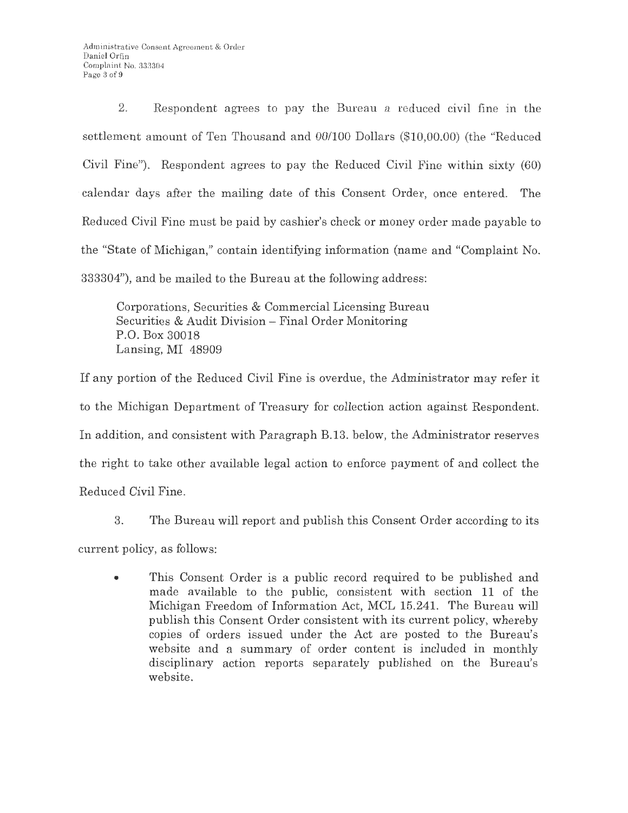2. Respondent agrees to pay the Bureau a reduced civil fine in the settlement amount of Ten Thousand and 00/100 Dollars (\$10,00.00) (the "Reduced Civil Fine"). Respondent agrees to pay the Reduced Civil Fine within sixty (60) calendar days after the mailing date of this Consent Order, once entered. The Reduced Civil Fine must be paid by cashier's check or money order made payable to the "State of Michigan," contain identifying information (name and "Complaint No. 333304"), and be mailed to the Bureau at the following address:

Corporations, Securities & Commercial Licensing Bureau Securities & Audit Division - Final Ordet Monitoring P.O. Box 30018 Lansing, MI 48909

If any portion of the Reduced Civil Fine is overdue, the Administrator may refer it to the Michigan Department of Treasury for collection action against Respondent. In addition, and consistent with Paragraph B.13. below, the Administrator reserves the right to take other available legal action to enforce payment of and collect the Reduced Civil Fine.

3. The Bureau will report and publish this Consent Order according to its current policy, as follows:

• This Consent Order is a public record required to be published and made available to the public, consistent with section 11 of the Michigan Freedom of Information Act, MCL 15.241. The Bureau will publish this Consent Order consistent with its current policy, whereby copies of orders issued under the Act are posted to the Bureau's website and a summary of order content is included in monthly disciplinary action reports separately published on the Bureau's website.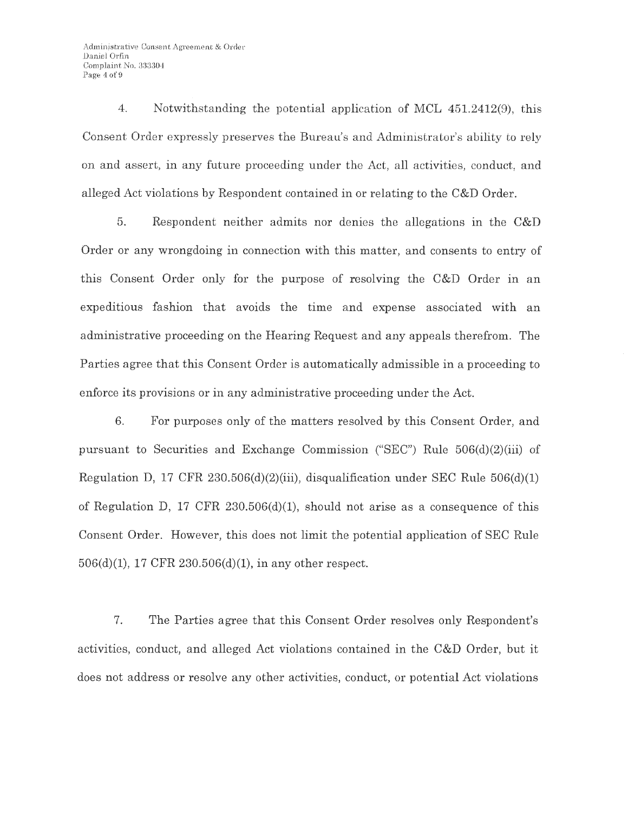4. Notwithstanding the potential application of MCL 451.2412(9), this Consent Order expressly preserves the Bureau's and Administrator's ability to rely on and assert, in any future proceeding under the Act, all activities, conduct, and alleged Act violations by Respondent contained in or relating to the C&D Order.

5. Respondent neither admits nor denies the allegations in the C&D Order or any wrongdoing in connection with this matter, and consents to entry of this Consent Order only for the purpose of resolving the C&D Order in an expeditious fashion that avoids the time and expense associated with an administrative proceeding on the Hearing Request and any appeals therefrom. The Parties agree that this Consent Order is automatically admissible in a proceeding to enforce its provisions or in any administrative proceeding under the Act.

6. For purposes only of the matters resolved by this Consent Order, and pursuant to Securities and Exchange Commission ("SEC") Rule 506(d)(2)(iii) of Regulation D, 17 CFR 230.506(d)(2)(iii), disqualification under SEC Rule  $506(d)(1)$ of Regulation D, 17 CFR 230.506(d)(1), should not arise as a consequence of this Consent Order. However, this does not limit the potential application of SEC Rule 506(d)(l), 17 CFR 230.506(d)(l), in any other respect.

7. The Parties agree that this Consent Order resolves only Respondent's activities, conduct, and alleged Act violations contained in the C&D Order, but it does not address or resolve any other activities, conduct, or potential Act violations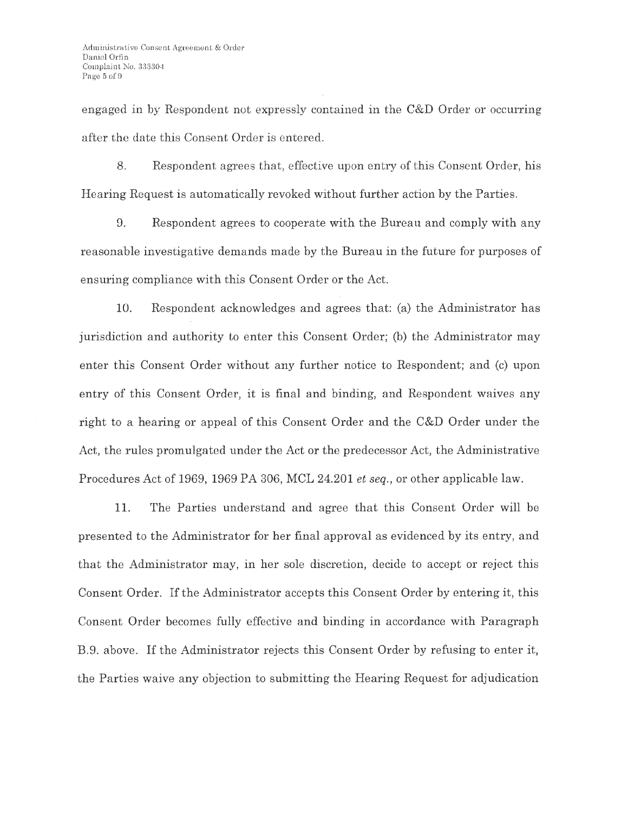engaged in by Respondent not expressly contained in the C&D Order or occurring after the date this Consent Order is entered.

8. Respondent agrees that, effective upon entry of this Consent Order, his Hearing Request is automatically revoked without further action by the Parties.

9. Respondent agrees to cooperate with the Bureau and comply with any reasonable investigative demands made by the Bureau in the future for purposes of ensuring compliance with this Consent Order or the Act.

10. Respondent acknowledges and agrees that: (a) the Administrator has jurisdiction and authority to enter this Consent Order; (b) the Administrator may enter this Consent Order without any further notice to Respondent; and (c) upon entry of this Consent Order, it is final and binding, and Respondent waives any right to a hearing or appeal of this Consent Order and the C&D Order under the Act, the rules promulgated under the Act or the predecessor Act, the Administrative Procedures Act of 1969, 1969 PA 306, MCL 24.201 *et seq.,* or other applicable law.

11. The Parties understand and agree that this Consent Order will be presented to the Administrator for her final approval as evidenced by its entry, and that the Administrator may, in her sole discretion, decide to accept or reject this Consent Order. If the Administrator accepts this Consent Order by entering it, this Consent Order becomes fully effective and binding in accordance with Paragraph B.9. above. If the Administrator rejects this Consent Order by refusing to enter it, the Parties waive any objection to submitting the Hearing Request for adjudication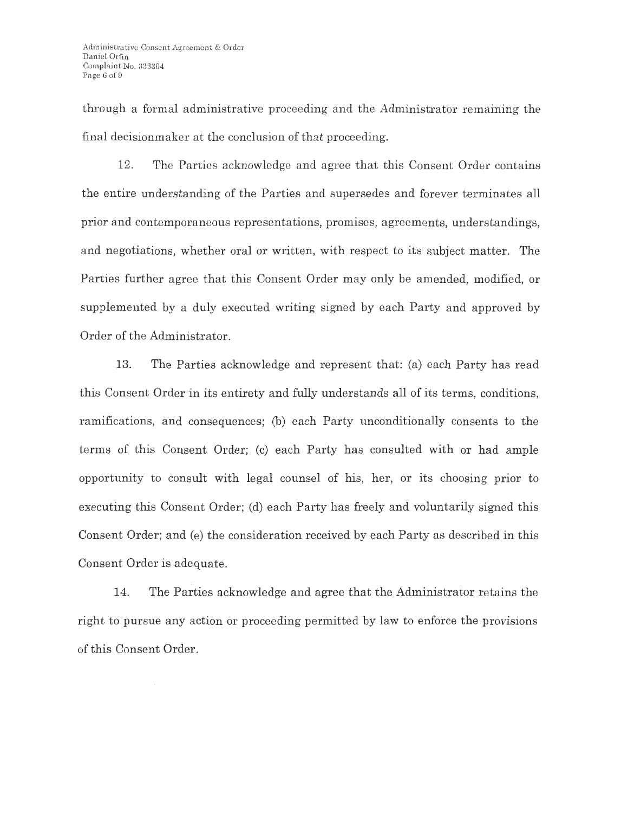through a formal administrative proceeding and the Administrator remaining tho final decisionmaker at the conclusion of that proceeding.

12. The Parties acknowledge and agree that this Consent Order contains the entire understanding of the Parties and supersedes and forever terminates all prior and contemporaneous representations, promises, agreements, understandings, and negotiations, whether oral or written, with respect to its subject matter. The Parties further agree that this Consent Order may only be amended, modified, or supplemented by a duly executed writing signed by each Party and approved by Order of the Administrator.

13. The Parties acknowledge and represent that: (a) each Party has read this Consent Order in its entirety and fully understands all of its terms, conditions, ramifications, and consequences; (b) each Party unconditionally consents to the terms of this Consent Order; (c) each Party has consulted with or had ample opportunity to consult with legal counsel of his, her, or its choosing prior to executing this Consent Order; (d) each Party has freely and voluntarily signed this Consent Order; and (e) the consideration received by each Party as described in this Consent Order is adequate.

14. The Parties acknowledge and agree that the Administrator retains the right to pursue any action or proceeding permitted by law to enforce the provisions of this Consent Order.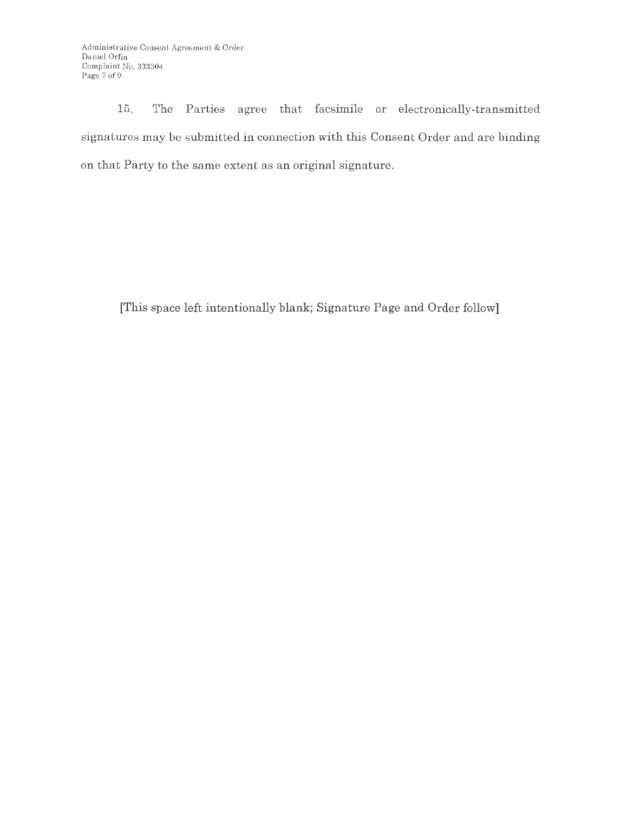15. The Parties agree that facsimile or electronically~transmitted signatures may be submitted in connection with this Consent Order and are binding on that Party to the same extent as an original signature.

[This space left intentionally blank; Signature Page and Order follow]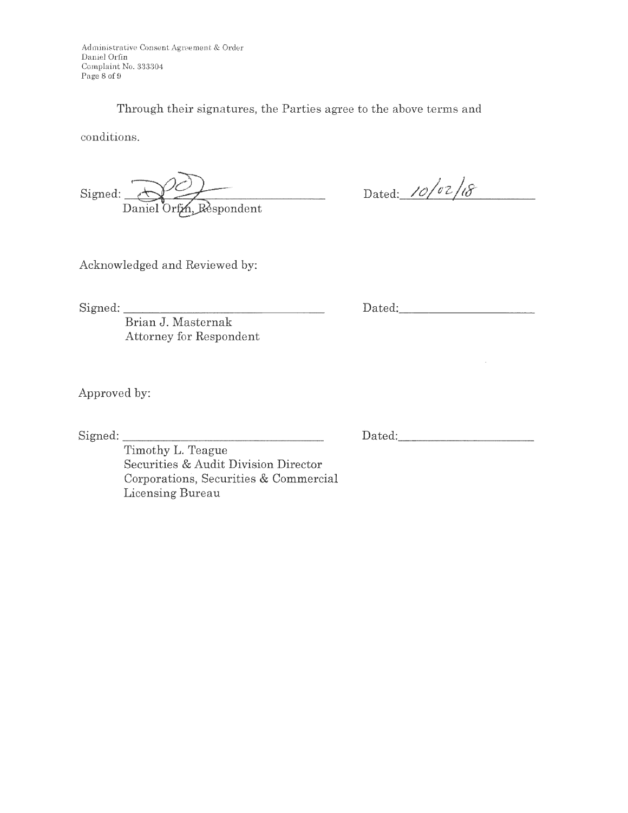Administrative Consent Agreement & Order Daniel Orfin Complaint No. 333304 Page 8 of 9

Through their signatures, the Parties agree to the above terms and

conditions.

 $Signed: 24$ Daniel Orfm, Respondent

Dated: 10/02/18

Acknowledged and Reviewed by:

Signed: \_\_\_\_\_\_\_\_\_\_\_\_\_ \_

 $\Delta$  Dated:

 $\mathcal{A}$ 

Brian J. Masternak Attorney for Respondent

Approved by:

Signed: \_\_\_\_\_\_\_\_\_\_\_\_\_\_ \_

 $\Delta$  Dated:

Timothy L. Teague Securities & Audit Division Director Corporations, Securities & Commercial Licensing Bureau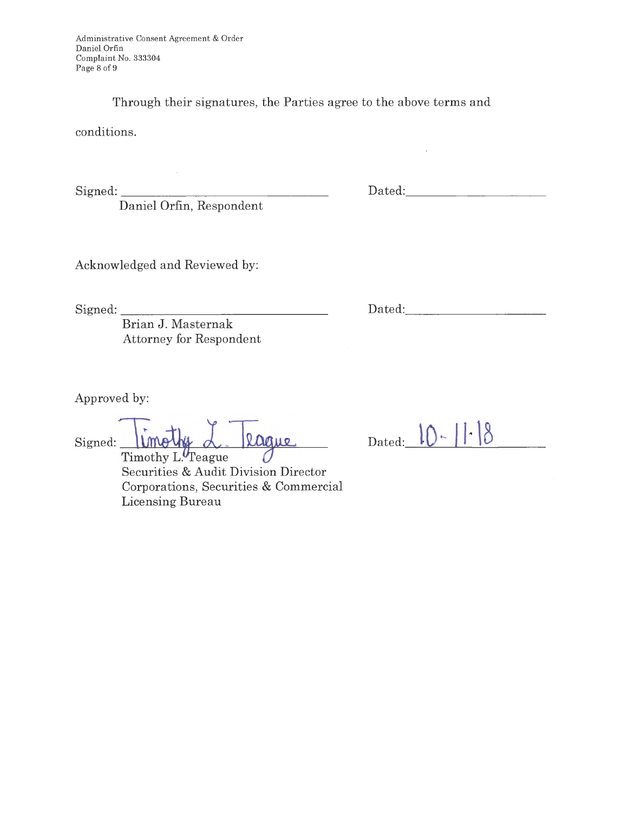Through their signatures, the Parties agree to the above terms and

conditions.

Signed:

Daniel Orfin, Respondent

Dated:. \_\_\_\_\_\_\_\_\_ \_

Acknowledged and Reviewed by:

Signed: \_\_\_\_\_\_\_\_\_\_\_\_\_\_\_ \_

Dated: \_\_\_\_\_\_\_\_\_ \_

Brian J. Masternak Attorney for Respondent

Approved by:

Signed: **\\molhy\** d <u>Rague</u>

Securities & Audit Division Director Corporations, Securities & Commercial Licensing Bureau

|        | $\mathbf{R}$ | $\mathbb{R}^n$ |  |
|--------|--------------|----------------|--|
| Dated: |              |                |  |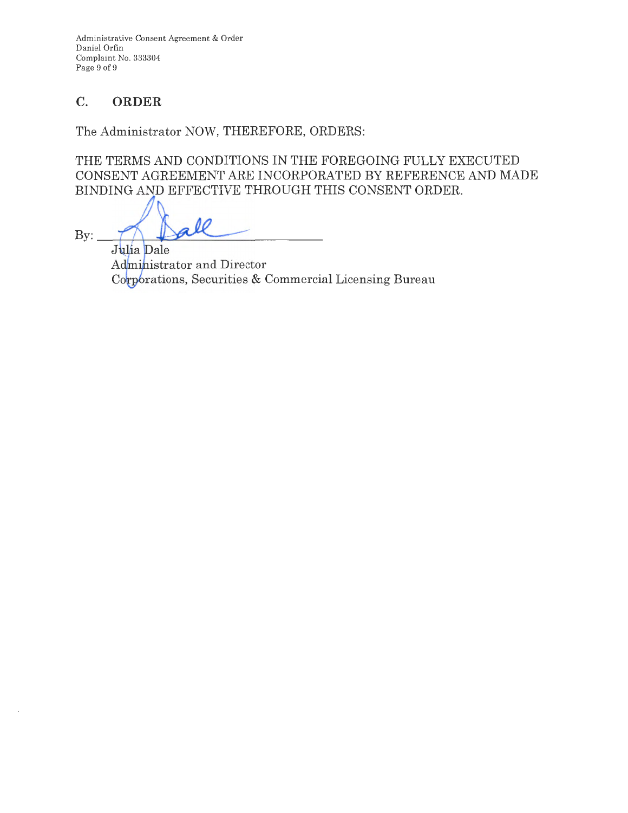Administrative Consent Agreement & Order Daniel Orfin Complaint No. 333304 Page 9 of 9

# **C. ORDER**

The Administrator NOW, THEREFORE, ORDERS:

THE TERMS AND CONDITIONS IN THE FOREGOING FULLY EXECUTED CONSENT AGREEMENT ARE INCORPORATED BY REFERENCE AND MADE BINDING AND EFFECTIVE THROUGH THIS CONSENT ORDER.

 $\mathbf{By:}$ 

Julia Dale Administrator and Director Corporations, Securities & Commercial Licensing Bureau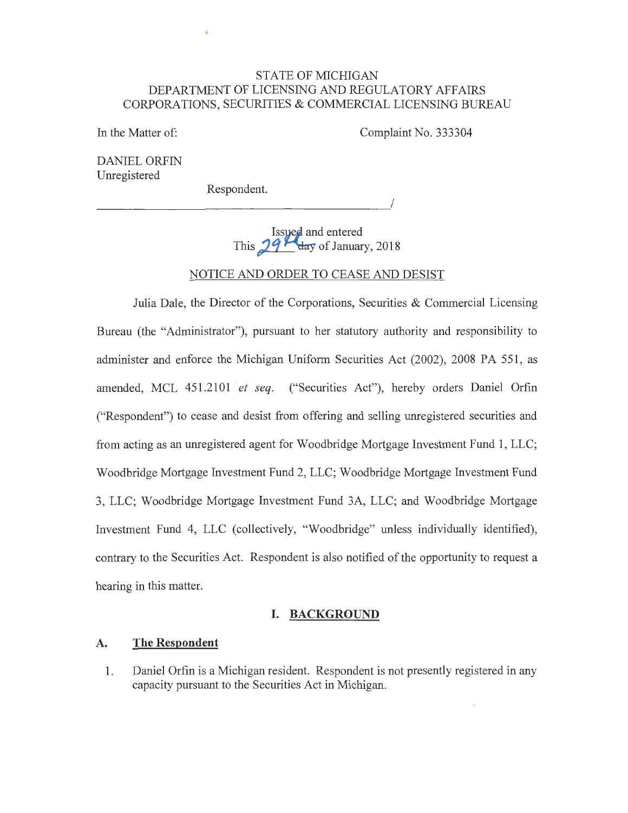# STATE OF MICHIGAN DEPARTMENT OF LICENSING AND REGULATORY AFFAIRS CORPORATIONS, SECURITIES & COMMERCIAL LICENSING BUREAU

In the Matter of:

Complaint No. 333304

I

DANIEL ORPIN Unregistered

Respondent.

k

**Issued** and entered This  $29$ <sup>L</sup> day of January, 2018

NOTICE AND ORDER TO CEASE AND DESIST

Julia Dale, the Director of the Corporations, Securities & Commercial Licensing Bureau (the "Administrator"), pursuant to her statutory authority and responsibility to administer and enforce the Michigan Uniform Securities Act (2002), 2008 PA 551, as amended, MCL 451.2101 *et seq.* ("Securities Act"), hereby orders Daniel Orfin ("Respondent") to cease and desist from offering and selling unregistered securities and from acting as an unregistered agent for Woodbridge Mortgage Investment Fund 1, LLC; Woodbridge Mortgage Investment Fund 2, LLC; Woodbridge Mortgage Investment Fund 3, LLC; Woodbridge Mortgage Investment Fund 3A, LLC; and Woodbridge Mortgage Investment Fund 4, LLC (collectively, "Woodbridge" unless individually identified), contrary to the Securities Act. Respondent is also notified of the opportunity to request a hearing in this matter.

# **I. BACKGROUND**

### **A. The Respondent**

1. Daniel Orfin is a Michigan resident. Respondent is not presently registered in any capacity pursuant to the Securities Act in Michigan.

÷.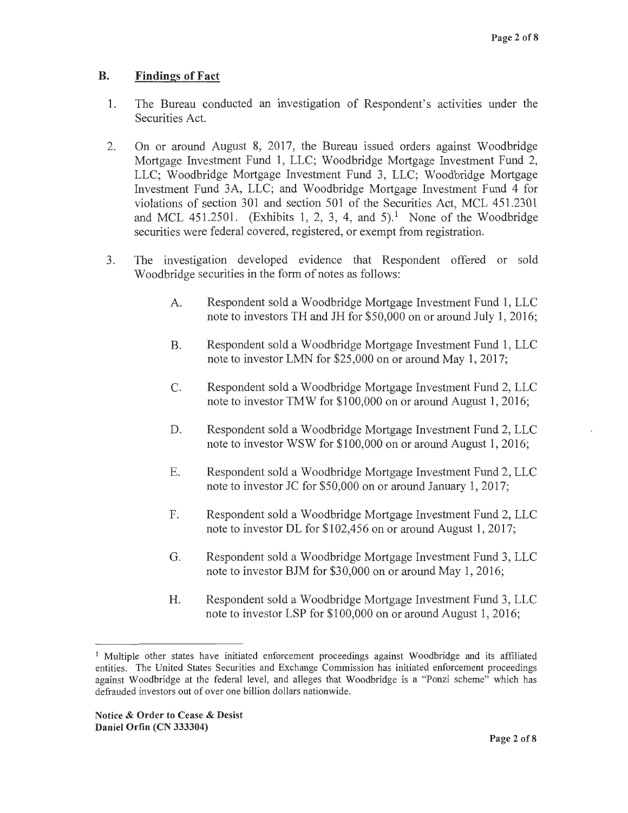# **B. Findings of Fact**

- 1. The Bureau conducted an investigation of Respondent's activities under the Securities Act.
- 2. On or around August 8, 2017, the Bureau issued orders against Woodbridge Mortgage Investment Fund 1, LLC; Woodbridge Mortgage Investment Fund 2, LLC; Woodbridge Mortgage Investment Fund 3, LLC; Woodbridge Mortgage Investment Fund 3A, LLC; and Woodbridge Mortgage Investment Fund 4 for violations of section 301 and section 501 of the Securities Act, MCL 451.2301 and MCL 451.2501. (Exhibits 1, 2, 3, 4, and  $5$ ).<sup>1</sup> None of the Woodbridge securities were federal covered, registered, or exempt from registration.
- 3. The investigation developed evidence that Respondent offered or sold Woodbridge securities in the form of notes as follows:
	- A. Respondent sold a Woodbridge Mortgage Investment Fund 1, LLC note to investors TH and JH for \$50,000 on or around July 1, 2016;
	- B. Respondent sold a Woodbridge Mortgage Investment Fund 1, LLC note to investor LMN for \$25,000 on or around May 1, 2017;
	- C. Respondent sold a Woodbridge Mortgage Investment Fund 2, LLC note to investor TMW for \$100,000 on or around August 1, 2016;
	- D. Respondent sold a Woodbridge Mortgage Investment Fund 2, LLC note to investor WSW for \$100,000 on or around August 1, 2016;
	- E. Respondent sold a Woodbridge Mortgage Investment Fund 2, LLC note to investor JC for \$50,000 on or around January 1, 2017;
	- F. Respondent sold a Woodbridge Mortgage Investment Fund 2, LLC note to investor DL for \$102,456 on or around August 1, 2017;
	- G. Respondent sold a Woodbridge Mortgage Investment Fund 3, LLC note to investor BJM for \$30,000 on or around May 1, 2016;
	- H. Respondent sold a Woodbridge Mortgage Investment Fund 3, LLC note to investor LSP for \$100,000 on or around August 1, 2016;

<sup>&</sup>lt;sup>1</sup> Multiple other states have initiated enforcement proceedings against Woodbridge and its affiliated entities. The United States Securities and Exchange Commission has initiated enforcement proceedings against Woodbridge at the federal level, and alleges that Woodbridge is a "Ponzi scheme" which has defrauded investors out of over one billion dollars nationwide.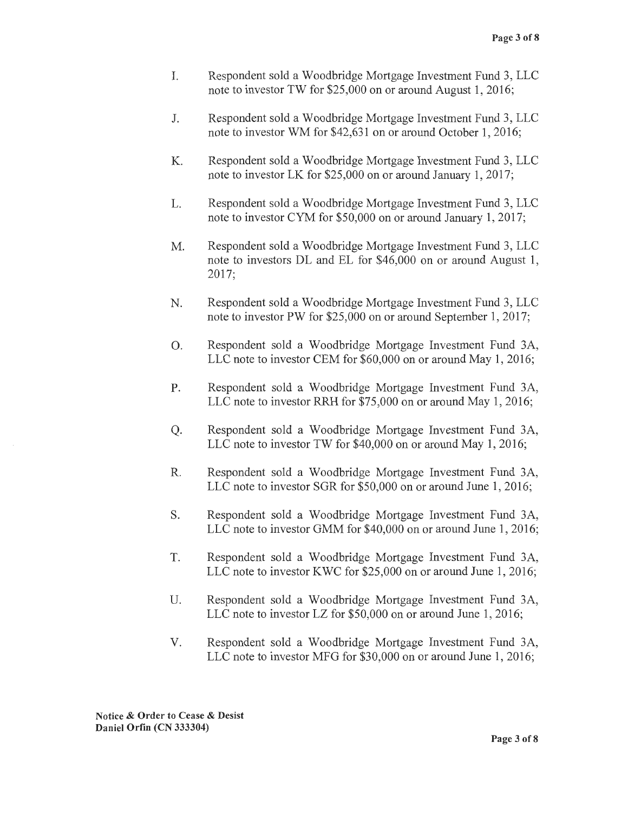- I. Respondent sold a Woodbridge Mortgage Investment Fund 3, LLC note to investor TW for \$25,000 on or around August 1, 2016;
- J. Respondent sold a Woodbridge Mortgage Investment Fund 3, LLC note to investor WM for \$42,631 on or around October 1, 2016;
- K. Respondent sold a Woodbridge Mortgage Investment Fund 3, LLC note to investor LK for \$25,000 on or around January 1, 2017;
- L. Respondent sold a Woodbridge Mortgage Investment Fund 3, LLC note to investor CYM for \$50,000 on or around January 1, 2017;
- M. Respondent sold a Woodbridge Mortgage Investment Fund 3, LLC note to investors DL and EL for \$46,000 on or around August 1, 2017;
- N. Respondent sold a Woodbridge Mortgage Investment Fund 3, LLC note to investor PW for \$25,000 on or around September 1, 2017;
- 0. Respondent sold a Woodbridge Mortgage Investment Fund 3A, LLC note to investor CEM for \$60,000 on or around May 1, 2016;
- P. Respondent sold a Woodbridge Mortgage Investment Fund 3A, LLC note to investor RRH for \$75,000 on or around May 1, 2016;
- Q. Respondent sold a Woodbridge Mortgage Investment Fund 3A, LLC note to investor TW for \$40,000 on or around May 1, 2016;
- R. Respondent sold a Woodbridge Mortgage Investment Fund 3A, LLC note to investor SGR for \$50,000 on or around June 1, 2016;
- S. Respondent sold a Woodbridge Mortgage Investment Fund 3A, LLC note to investor GMM for \$40,000 on or around June 1, 2016;
- T. Respondent sold a Woodbridge Mortgage Investment Fund 3A, LLC note to investor KWC for \$25,000 on or around June 1, 2016;
- U. Respondent sold a Woodbridge Mortgage Investment Fund 3A, LLC note to investor LZ for \$50,000 on or around June 1, 2016;
- V. Respondent sold a Woodbridge Mortgage Investment Fund 3A, LLC note to investor MFG for \$30,000 on or around June 1, 2016;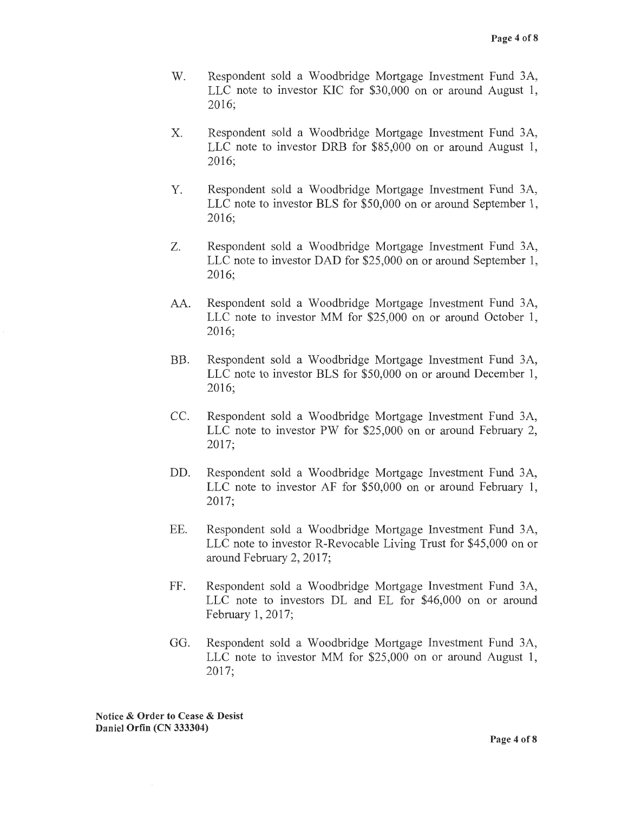- W. Respondent sold a Woodbridge Mortgage Investment Fund 3A, LLC note to investor KIC for \$30,000 on or around August 1, 2016;
- X. Respondent sold a Woodbridge Mortgage Investment Fund 3A, LLC note to investor DRB for \$85,000 on or around August 1, 2016;
- Y. Respondent sold a Woodbridge Mortgage Investment Fund 3A, LLC note to investor BLS for \$50,000 on or around September 1, 2016;
- Z. Respondent sold a Woodbridge Mortgage Investment Fund 3A, LLC note to investor DAD for \$25,000 on or around September 1, 2016;
- AA. Respondent sold a Woodbridge Mortgage Investment Fund 3A, LLC note to investor MM for \$25,000 on or around October 1, 2016;
- BB. Respondent sold a Woodbridge Mortgage Investment Fund 3A, LLC note to investor BLS for \$50,000 on or around December 1, 2016;
- CC. Respondent sold a Woodbridge Mortgage Investment Fund 3A, LLC note to investor PW for \$25,000 on or around February 2, 2017;
- DD. Respondent sold a Woodbridge Mortgage Investment Fund 3A, LLC note to investor AF for \$50,000 on or around February 1, 2017;
- EE. Respondent sold a Woodbridge Mortgage Investment Fund 3A, LLC note to investor R-Revocable Living Trust for \$45,000 on or around February 2, 2017;
- FF. Respondent sold a Woodbridge Mortgage Investment Fund 3A, LLC note to investors DL and EL for \$46,000 on or around February 1, 2017;
- GG. Respondent sold a Woodbridge Mortgage Investment Fund 3A, LLC note to investor MM for \$25,000 on or around August 1, 2017;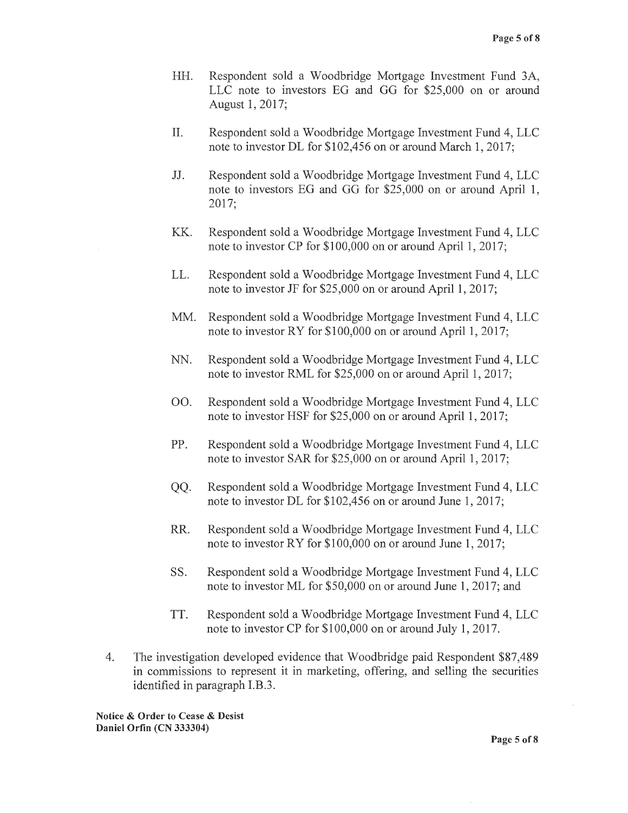- HH. Respondent sold a Woodbridge Mortgage Investment Fund 3A, LLC note to investors EG and GG for \$25,000 on or around August 1, 2017;
- II. Respondent sold a Woodbridge Mortgage Investment Fund 4, LLC note to investor DL for \$102,456 on or around March 1, 2017;
- JJ. Respondent sold a Woodbridge Mortgage Investment Fund 4, LLC note to investors EG and GG for \$25,000 on or around April 1, 2017;
- KK. Respondent sold a Woodbridge Mortgage Investment Fund 4, LLC note to investor CP for \$100,000 on or around April 1, 2017;
- LL. Respondent sold a Woodbridge Mortgage Investment Fund 4, LLC note to investor JF for \$25,000 on or around April 1, 2017;
- MM. Respondent sold a Woodbridge Mortgage Investment Fund 4, LLC note to investor RY for \$100,000 on or around April 1, 2017;
- NN. Respondent sold a Woodbridge Mortgage Investment Fund 4, LLC note to investor RML for \$25,000 on or around April 1, 2017;
- 00. Respondent sold a Woodbridge Mortgage Investment Fund 4, LLC note to investor HSF for \$25,000 on or around April 1, 2017;
- PP. Respondent sold a Woodbridge Mortgage Investment Fund 4, LLC note to investor SAR for \$25,000 on or around April 1, 2017;
- QQ. Respondent sold a Woodbridge Mortgage Investment Fund 4, LLC note to investor DL for \$102,456 on or around June 1, 2017;
- RR. Respondent sold a Woodbridge Mortgage Investment Fund 4, LLC note to investor RY for \$100,000 on or around June 1, 2017;
- SS. Respondent sold a Woodbridge Mortgage Investment Fund 4, LLC note to investor ML for \$50,000 on or around June 1, 2017; and
- TT. Respondent sold a Woodbridge Mortgage Investment Fund 4, LLC note to investor CP for \$100,000 on or around July 1, 2017.
- 4. The investigation developed evidence that Woodbridge paid Respondent \$87,489 in commissions to represent it in marketing, offering, and selling the securities identified in paragraph I.B.3.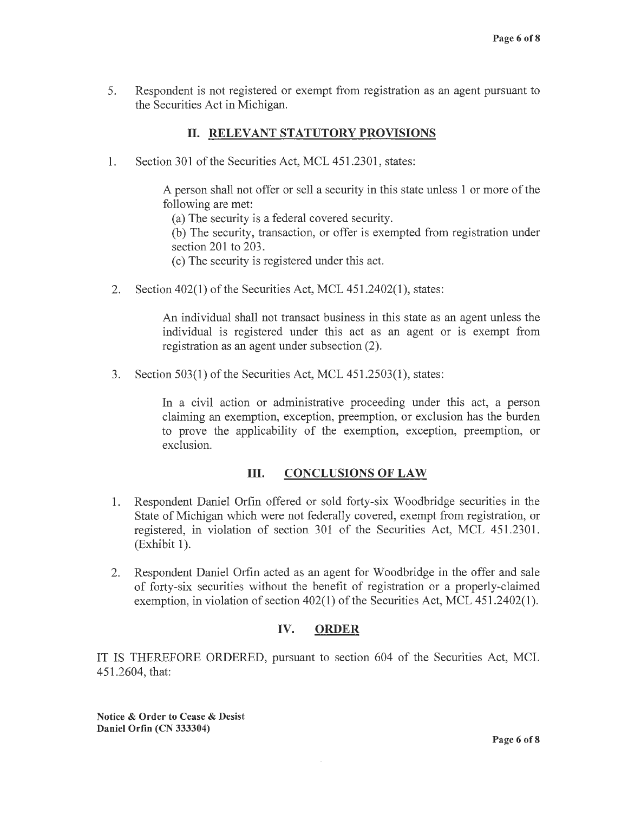5. Respondent is not registered or exempt from registration as an agent pursuant to the Securities Act in Michigan.

# II. **RELEVANT STATUTORY PROVISIONS**

1. Section 301 of the Securities Act, MCL 451.2301, states:

A person shall not offer or sell a security in this state unless 1 or more of the following are met:

(a) The security is a federal covered security.

(b) The security, transaction, or offer is exempted from registration under section 201 to 203.

( c) The security is registered under this act.

2. Section 402(1) of the Securities Act, MCL 451.2402(1), states:

An individual shall not transact business in this state as an agent unless the individual is registered under this act as an agent or is exempt from registration as an agent under subsection (2).

3. Section 503(1) of the Securities Act, MCL 451.2503(1), states:

In a civil action or administrative proceeding under this act, a person claiming an exemption, exception, preemption, or exclusion has the burden to prove the applicability of the exemption, exception, preemption, or exclusion.

# III. **CONCLUSIONS OF LAW**

- 1. Respondent Daniel Orfin offered or sold forty-six Woodbridge securities in the State of Michigan which were not federally covered, exempt from registration, or registered, in violation of section 301 of the Securities Act, MCL 451.2301.  $(Exhibit 1).$
- 2. Respondent Daniel Orfin acted as an agent for Woodbridge in the offer and sale of forty-six securities without the benefit of registration or a properly-claimed exemption, in violation of section 402(1) of the Securities Act, MCL 451.2402(1).

# **IV. ORDER**

IT IS THEREFORE ORDERED, pursuant to section 604 of the Securities Act, MCL 451.2604, that: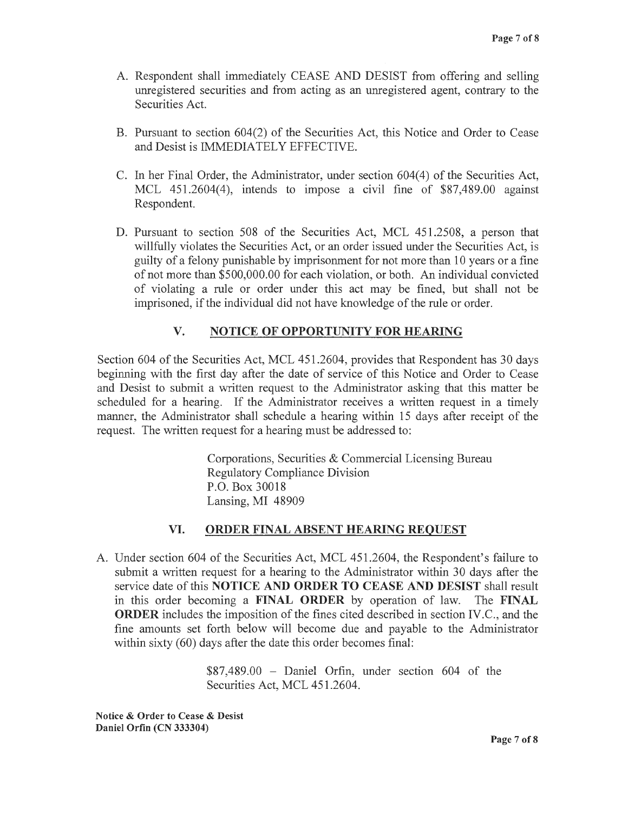- A. Respondent shall immediately CEASE AND DESIST from offering and selling unregistered securities and from acting as an unregistered agent, contrary to the Securities Act.
- B. Pursuant to section 604(2) of the Securities Act, this Notice and Order to Cease and Desist is IMMEDIATELY EFFECTIVE.
- C. In her Final Order, the Administrator, under section 604(4) of the Securities Act, MCL 451.2604(4), intends to impose a civil fine of \$87,489.00 against Respondent.
- D. Pursuant to section 508 of the Securities Act, MCL 451.2508, a person that willfully violates the Securities Act, or an order issued under the Securities Act, is guilty of a felony punishable by imprisonment for not more than 10 years or a fine of not more than \$500,000.00 for each violation, or both. An individual convicted of violating a rule or order under this act may be fined, but shall not be imprisoned, if the individual did not have knowledge of the rule or order.

# **V. NOTICE OF OPPORTUNITY FOR HEARING**

Section 604 of the Securities Act, MCL 451 .2604, provides that Respondent has 30 days beginning with the first day after the date of service of this Notice and Order to Cease and Desist to submit a written request to the Administrator asking that this matter be scheduled for a hearing. If the Administrator receives a written request in a timely manner, the Administrator shall schedule a hearing within 15 days after receipt of the request. The written request for a hearing must be addressed to:

> Corporations, Securities & Commercial Licensing Bureau Regulatory Compliance Division P.O. Box 30018 Lansing, MI 48909

#### **VI. ORDER FINAL ABSENT HEARING REQUEST**

A. Under section 604 of the Securities Act, MCL 451.2604, the Respondent's failure to submit a written request for a hearing to the Administrator within 30 days after the service date of this **NOTICE AND ORDER TO CEASE AND DESIST** shall result in this order becoming a **FINAL ORDER** by operation of law. The **FINAL ORDER** includes the imposition of the fines cited described in section IV.C., and the fine amounts set forth below will become due and payable to the Administrator within sixty (60) days after the date this order becomes final:

> \$87,489.00 - Daniel Orfin, under section 604 of the Securities Act, MCL 451.2604.